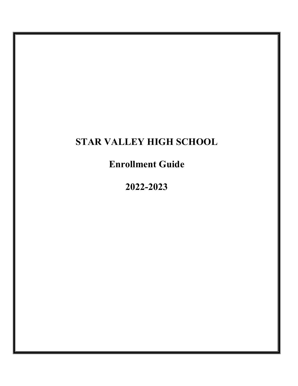# **STAR VALLEY HIGH SCHOOL**

**Enrollment Guide**

**2022-2023**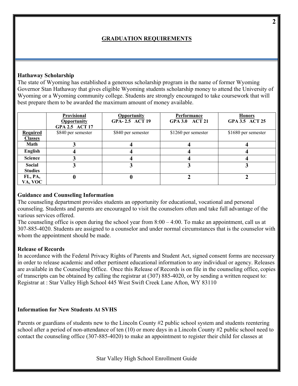## **GRADUATION REQUIREMENTS**

### **Hathaway Scholarship**

The state of Wyoming has established a generous scholarship program in the name of former Wyoming Governor Stan Hathaway that gives eligible Wyoming students scholarship money to attend the University of Wyoming or a Wyoming community college. Students are strongly encouraged to take coursework that will best prepare them to be awarded the maximum amount of money available.

|                                   | Provisional<br>Opportunity<br>GPA 2.5 ACT 17 | <b>Opportunity</b><br>GPA-2.5 ACT 19 | Performance<br>GPA 3.0 ACT 21 | <b>Honors</b><br>GPA 3.5 ACT 25 |
|-----------------------------------|----------------------------------------------|--------------------------------------|-------------------------------|---------------------------------|
| <b>Required</b><br><b>Classes</b> | \$840 per semester                           | \$840 per semester                   | \$1260 per semester           | \$1680 per semester             |
| Math                              |                                              |                                      |                               |                                 |
| English                           |                                              |                                      |                               |                                 |
| <b>Science</b>                    |                                              |                                      |                               |                                 |
| Social<br><b>Studies</b>          | 3                                            |                                      |                               |                                 |
| FL, PA,<br>VA, VOC                | U                                            |                                      |                               |                                 |

### **Guidance and Counseling Information**

The counseling department provides students an opportunity for educational, vocational and personal counseling. Students and parents are encouraged to visit the counselors often and take full advantage of the various services offered.

The counseling office is open during the school year from  $8:00 - 4:00$ . To make an appointment, call us at 307-885-4020. Students are assigned to a counselor and under normal circumstances that is the counselor with whom the appointment should be made.

### **Release of Records**

In accordance with the Federal Privacy Rights of Parents and Student Act, signed consent forms are necessary in order to release academic and other pertinent educational information to any individual or agency. Releases are available in the Counseling Office. Once this Release of Records is on file in the counseling office, copies of transcripts can be obtained by calling the registrar at (307) 885-4020, or by sending a written request to: Registrar at : Star Valley High School 445 West Swift Creek Lane Afton, WY 83110

## **Information for New Students At SVHS**

Parents or guardians of students new to the Lincoln County #2 public school system and students reentering school after a period of non-attendance of ten (10) or more days in a Lincoln County #2 public school need to contact the counseling office (307-885-4020) to make an appointment to register their child for classes at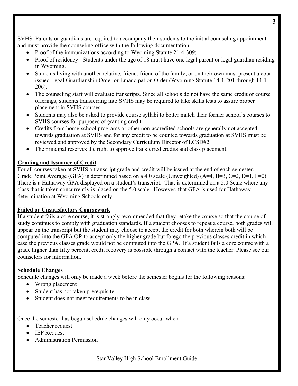SVHS. Parents or guardians are required to accompany their students to the initial counseling appointment and must provide the counseling office with the following documentation.

- Proof of the immunizations according to Wyoming Statute 21-4-309:
- Proof of residency: Students under the age of 18 must have one legal parent or legal guardian residing in Wyoming.
- Students living with another relative, friend, friend of the family, or on their own must present a court issued Legal Guardianship Order or Emancipation Order (Wyoming Statute 14-1-201 through 14-1- 206).
- The counseling staff will evaluate transcripts. Since all schools do not have the same credit or course offerings, students transferring into SVHS may be required to take skills tests to assure proper placement in SVHS courses.
- Students may also be asked to provide course syllabi to better match their former school's courses to SVHS courses for purposes of granting credit.
- Credits from home-school programs or other non-accredited schools are generally not accepted towards graduation at SVHS and for any credit to be counted towards graduation at SVHS must be reviewed and approved by the Secondary Curriculum Director of LCSD#2.
- The principal reserves the right to approve transferred credits and class placement.

## **Grading and Issuance of Credit**

For all courses taken at SVHS a transcript grade and credit will be issued at the end of each semester. Grade Point Average (GPA) is determined based on a 4.0 scale (Unweighted) (A=4, B=3, C=2, D=1, F=0). There is a Hathaway GPA displayed on a student's transcript. That is determined on a 5.0 Scale where any class that is taken concurrently is placed on the 5.0 scale. However, that GPA is used for Hathaway determination at Wyoming Schools only.

## **Failed or Unsatisfactory Coursework**

If a student fails a core course, it is strongly recommended that they retake the course so that the course of study continues to comply with graduation standards. If a student chooses to repeat a course, both grades will appear on the transcript but the student may choose to accept the credit for both wherein both will be computed into the GPA OR to accept only the higher grade but forego the previous classes credit in which case the previous classes grade would not be computed into the GPA. If a student fails a core course with a grade higher than fifty percent, credit recovery is possible through a contact with the teacher. Please see our counselors for information.

## **Schedule Changes**

Schedule changes will only be made a week before the semester begins for the following reasons:

- Wrong placement
- Student has not taken prerequisite.
- Student does not meet requirements to be in class

Once the semester has begun schedule changes will only occur when:

- Teacher request
- **IEP Request**
- Administration Permission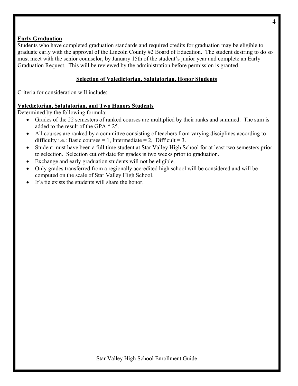### **Early Graduation**

Students who have completed graduation standards and required credits for graduation may be eligible to graduate early with the approval of the Lincoln County #2 Board of Education. The student desiring to do so must meet with the senior counselor, by January 15th of the student's junior year and complete an Early Graduation Request. This will be reviewed by the administration before permission is granted.

### **Selection of Valedictorian, Salutatorian, Honor Students**

Criteria for consideration will include:

### **Valedictorian, Salutatorian, and Two Honors Students**

Determined by the following formula:

- Grades of the 22 semesters of ranked courses are multiplied by their ranks and summed. The sum is added to the result of the GPA \* 25.
- All courses are ranked by a committee consisting of teachers from varying disciplines according to difficulty i.e.: Basic courses = 1, Intermediate = 2, Difficult = 3.
- Student must have been a full time student at Star Valley High School for at least two semesters prior to selection. Selection cut off date for grades is two weeks prior to graduation.
- Exchange and early graduation students will not be eligible.
- Only grades transferred from a regionally accredited high school will be considered and will be computed on the scale of Star Valley High School.
- If a tie exists the students will share the honor.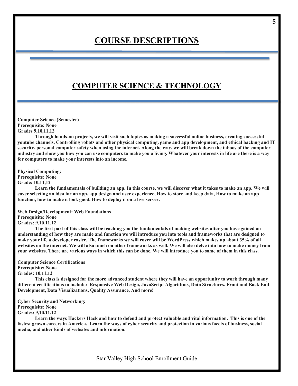## **COURSE DESCRIPTIONS**

**5**

## **COMPUTER SCIENCE & TECHNOLOGY**

**Computer Science (Semester) Prerequisite: None Grades 9,10,11,12**

**Through hands-on projects, we will visit such topics as making a successful online business, creating successful youtube channels, Controlling robots and other physical computing, game and app development, and ethical hacking and IT security, personal computer safety when using the internet. Along the way, we will break down the taboos of the computer industry and show you how you can use computers to make you a living. Whatever your interests in life are there is a way for computers to make your interests into an income.**

**Physical Computing: Prerequisite: None Grade: 10,11,12**

Learn the fundamentals of building an app. In this course, we will discover what it takes to make an app. We will **cover selecting an idea for an app, app design and user experience, How to store and keep data, How to make an app function, how to make it look good. How to deploy it on a live server.**

**Web Design/Development: Web Foundations Prerequisite: None Grades: 9,10,11,12**

**The first part of this class will be teaching you the fundamentals of making websites after you have gained an understanding of how they are made and function we will introduce you into tools and frameworks that are designed to make your life a developer easier. The frameworks we will cover will be WordPress which makes up about 35% of all websites on the internet. We will also touch on other frameworks as well. We will also delve into how to make money from your websites. There are various ways in which this can be done. We will introduce you to some of them in this class.**

**Computer Science Certifications Prerequisite: None Grades: 10,11,12**

**This class is designed for the more advanced student where they will have an opportunity to work through many different certifications to include: Responsive Web Design, JavaScript Algorithms, Data Structures, Front and Back End Development, Data Visualizations, Quality Assurance, And more!**

**Cyber Security and Networking:** 

**Prerequisite: None**

**Grades: 9,10,11,12**

**Learn the ways Hackers Hack and how to defend and protect valuable and vital information. This is one of the fastest grown careers in America. Learn the ways of cyber security and protection in various facets of business, social media, and other kinds of websites and information.**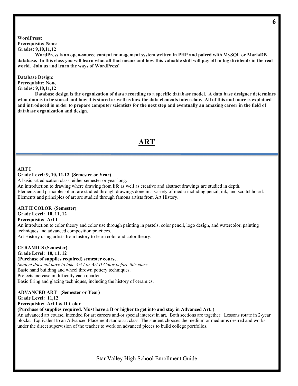**WordPress: Prerequisite: None Grades: 9,10,11,12**

**WordPress is an open-source content management system written in PHP and paired with MySQL or MariaDB database. In this class you will learn what all that means and how this valuable skill will pay off in big dividends in the real world. Join us and learn the ways of WordPress!** 

**Database Design: Prerequisite: None Grades: 9,10,11,12**

**Database design is the organization of data according to a specific database model. A data base designer determines what data is to be stored and how it is stored as well as how the data elements interrelate. All of this and more is explained and introduced in order to prepare computer scientists for the next step and eventually an amazing career in the field of database organization and design.** 

## **ART**

#### **ART I**

#### **Grade Level: 9, 10, 11,12 (Semester or Year)**

A basic art education class, either semester or year long.

An introduction to drawing where drawing from life as well as creative and abstract drawings are studied in depth. Elements and principles of art are studied through drawings done in a variety of media including pencil, ink, and scratchboard. Elements and principles of art are studied through famous artists from Art History.

#### **ART II COLOR (Semester)**

**Grade Level: 10, 11, 12** 

#### **Prerequisite: Art I**

An introduction to color theory and color use through painting in pastels, color pencil, logo design, and watercolor, painting techniques and advanced composition practices.

Art History using artists from history to learn color and color theory.

#### **CERAMICS (Semester)**

#### **Grade Level: 10, 11, 12**

#### **(Purchase of supplies required) semester course.**

*Student does not have to take Art I or Art II Color before this class* Basic hand building and wheel thrown pottery techniques. Projects increase in difficulty each quarter. Basic firing and glazing techniques, including the history of ceramics.

#### **ADVANCED ART (Semester or Year)**

**Grade Level: 11,12** 

#### **Prerequisite: Art I & II Color**

#### **(Purchase of supplies required. Must have a B or higher to get into and stay in Advanced Art. )**

An advanced art course, intended for art careers and/or special interest in art. Both sections are together. Lessons rotate in 2-year blocks. Equivalent to an Advanced Placement studio art class. The student chooses the medium or mediums desired and works under the direct supervision of the teacher to work on advanced pieces to build college portfolios.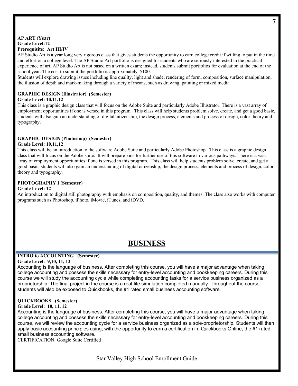#### **AP ART (Year) Grade Level:12 Prerequisite: Art III/IV**

AP Studio Art is a year long very rigorous class that gives students the opportunity to earn college credit if willing to put in the time and effort on a college level. The AP Studio Art portfolio is designed for students who are seriously interested in the practical experience of art. AP Studio Art is not based on a written exam; instead, students submit portfolios for evaluation at the end of the school year. The cost to submit the portfolio is approximately \$100.

Students will explore drawing issues including line quality, light and shade, rendering of form, composition, surface manipulation, the illusion of depth and mark-making through a variety of means, such as drawing, painting or mixed media.

#### **GRAPHIC DESIGN (Illustrator) (Semester)**

#### **Grade Level: 10,11,12**

This class is a graphic design class that will focus on the Adobe Suite and particularly Adobe Illustrator. There is a vast array of employment opportunities if one is versed in this program. This class will help students problem solve, create, and get a good basic, students will also gain an understanding of digital citizenship, the design process, elements and process of design, color theory and typography.

#### **GRAPHIC DESIGN (Photoshop) (Semester) Grade Level: 10,11,12**

This class will be an introduction to the software Adobe Suite and particularly Adobe Photoshop. This class is a graphic design class that will focus on the Adobe suite. It will prepare kids for further use of this software in various pathways. There is a vast array of employment opportunities if one is versed in this program. This class will help students problem solve, create, and get a good basic, students will also gain an understanding of digital citizenship, the design process, elements and process of design, color theory and typography.

#### **PHOTOGRAPHY I (Semester)**

#### **Grade Level: 12**

An introduction to digital still photography with emphasis on composition, quality, and themes. The class also works with computer programs such as Photoshop, iPhoto, iMovie, iTunes, and iDVD.

## **BUSINESS**

#### **INTRO to ACCOUNTING (Semester)**

#### **Grade Level: 9,10, 11, 12**

Accounting is the language of business. After completing this course, you will have a major advantage when taking college accounting and possess the skills necessary for entry-level accounting and bookkeeping careers. During this course we will study the accounting cycle while completing accounting tasks for a service business organized as a proprietorship. The final project in the course is a real-life simulation completed manually. Throughout the course students will also be exposed to Quickbooks, the #1 rated small business accounting software.

#### **QUICKBOOKS (Semester)**

#### **Grade Level: 10, 11, 12**

Accounting is the language of business. After completing this course, you will have a major advantage when taking college accounting and possess the skills necessary for entry-level accounting and bookkeeping careers. During this course, we will review the accounting cycle for a service business organized as a sole-proprietorship. Students will then apply basic accounting principles using, with the opportunity to earn a certification in, Quickbooks Online, the #1 rated small business accounting software.

CERTIFICATION: Google Suite Certified

Star Valley High School Enrollment Guide

**7**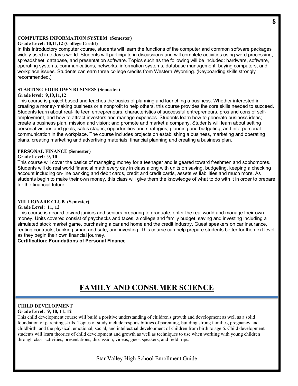#### **COMPUTERS INFORMATION SYSTEM (Semester)**

#### **Grade Level: 10,11,12 (College Credit)**

In this introductory computer course, students will learn the functions of the computer and common software packages widely used in today's world. Students will participate in discussions and will complete activities using word processing, spreadsheet, database, and presentation software. Topics such as the following will be included: hardware, software, operating systems, communications, networks, information systems, database management, buying computers, and workplace issues. Students can earn three college credits from Western Wyoming. (Keyboarding skills strongly recommended.)

#### **STARTING YOUR OWN BUSINESS (Semester)**

#### **Grade level: 9,10,11,12**

This course is project based and teaches the basics of planning and launching a business. Whether interested in creating a money-making business or a nonprofit to help others, this course provides the core skills needed to succeed. Students learn about real-life teen entrepreneurs, characteristics of successful entrepreneurs, pros and cons of selfemployment, and how to attract investors and manage expenses. Students learn how to generate business ideas; create a business plan, mission and vision; and promote and market a company. Students will learn about setting personal visions and goals, sales stages, opportunities and strategies, planning and budgeting, and interpersonal communication in the workplace. The course includes projects on establishing a business, marketing and operating plans, creating marketing and advertising materials, financial planning and creating a business plan.

#### **PERSONAL FINANCE (Semester)**

#### **Grade Level: 9, 10**

This course will cover the basics of managing money for a teenager and is geared toward freshmen and sophomores. Students will do real world financial math every day in class along with units on saving, budgeting, keeping a checking account including on-line banking and debit cards, credit and credit cards, assets vs liabilities and much more. As students begin to make their own money, this class will give them the knowledge of what to do with it in order to prepare for the financial future.

#### **MILLIONARE CLUB (Semester)**

#### **Grade Level: 11, 12**

This course is geared toward juniors and seniors preparing to graduate, enter the real world and manage their own money. Units covered consist of paychecks and taxes, a college and family budget, saving and investing including a simulated stock market game, purchasing a car and home and the credit industry. Guest speakers on car insurance, renting contracts, banking smart and safe, and investing. This course can help prepare students better for the next level as they begin their own financial journey.

#### **Certification: Foundations of Personal Finance**

## **FAMILY AND CONSUMER SCIENCE**

#### **CHILD DEVELOPMENT**

#### **Grade Level: 9, 10, 11, 12**

This child development course will build a positive understanding of children's growth and development as well as a solid foundation of parenting skills. Topics of study include responsibilities of parenting, building strong families, pregnancy and childbirth, and the physical, emotional, social, and intellectual development of children from birth to age 6. Child development students will learn theories of child development and growth as well as techniques to use when working with young children through class activities, presentations, discussion, videos, guest speakers, and field trips.

Star Valley High School Enrollment Guide

**8**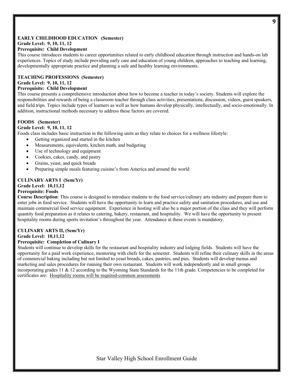#### **EARLY CHILDHOOD EDUCATION (Semester)**

#### **Grade Level: 9, 10, 11, 12**

#### **Prerequisite: Child Development**

This course introduces students to career opportunities related to early childhood education through instruction and hands-on lab experiences. Topics of study include providing early care and education of young children, approaches to teaching and learning, developmentally appropriate practice and planning a safe and healthy learning environments.

#### **TEACHING PROFESSIONS (Semester)**

#### **Grade Level: 9, 10, 11, 12**

#### **Prerequisite: Child Development**

This course presents a comprehensive introduction about how to become a teacher in today's society. Students will explore the responsibilities and rewards of being a classroom teacher through class activities, presentations, discussion, videos, guest speakers, and field trips. Topics include types of learners as well as how humans develop physically, intellectually, and socio-emotionally. In addition, instructional methods necessary to address these factors are covered.

#### **FOODS (Semester)**

#### **Grade Level: 9, 10, 11, 12**

Foods class includes basic instruction in the following units as they relate to choices for a wellness lifestyle:

- Getting organized and started in the kitchen
- Measurements, equivalents, kitchen math, and budgeting
- Use of technology and equipment
- Cookies, cakes, candy, and pastry
- Grains, yeast, and quick breads
- Preparing simple meals featuring cuisine's from America and around the world

#### **CULINARY ARTS I (Sem/Yr)**

## **Grade Level: 10,11,12**

#### **Prerequisite: Foods**

**Course Description**: This course is designed to introduce students to the food service/culinary arts industry and prepare them to enter jobs in food service. Students will have the opportunity to learn and practice safety and sanitation procedures, and use and maintain commercial food service equipment. Experience in hosting will also be a major portion of the class and they will perform quantity food preparation as it relates to catering, bakery, restaurant, and hospitality. We will have the opportunity to present hospitality rooms during sports invitation's throughout the year. Attendance at these events is mandatory.

#### **CULINARY ARTS II, (Sem/Yr)**

#### **Grade Level: 10,11,12**

#### **Prerequisite: Completion of Culinary I**

Students will continue to develop skills for the restaurant and hospitality industry and lodging fields. Students will have the opportunity for a paid work experience, mentoring with chefs for the semester. Students will refine their culinary skills in the areas of commercial baking including but not limited to yeast breads, cakes, pastries, and pies. Students will develop menus and marketing and sales procedures for running their own restaurant. Students will work independently and in small groups incorporating grades 11 & 12 according to the Wyoming State Standards for the 11th grade. Competencies to be completed for certificates are: Hospitality rooms will be required-common assessments

**9**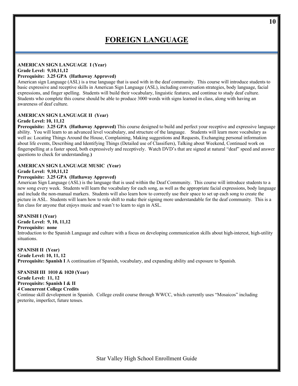## **FOREIGN LANGUAGE**

#### **AMERICAN SIGN LANGUAGE I (Year) Grade Level: 9,10,11,12**

#### **Prerequisite: 3.25 GPA (Hathaway Approved)**

American sign Language (ASL) is a true language that is used with in the deaf community. This course will introduce students to basic expressive and receptive skills in American Sign Language (ASL), including conversation strategies, body language, facial expressions, and finger spelling. Students will build their vocabulary, linguistic features, and continue to study deaf culture. Students who complete this course should be able to produce 3000 words with signs learned in class, along with having an awareness of deaf culture.

#### **AMERICAN SIGN LANGUAGE II (Year)**

#### **Grade Level: 10, 11,12**

**Prerequisite: 3.25 GPA (Hathaway Approved)** This course designed to build and perfect your receptive and expressive language ability. You will learn to an advanced level vocabulary, and structure of the language. Students will learn more vocabulary as well as: Locating Things Around the House, Complaining, Making suggestions and Requests, Exchanging personal information about life events, Describing and Identifying Things (Detailed use of Classifiers), Talking about Weekend, Continued work on fingerspelling at a faster speed, both expressively and receptively. Watch DVD's that are signed at natural "deaf" speed and answer questions to check for understanding.**)**

#### **AMERICAN SIGN LANGUAGE MUSIC (Year) Grade Level: 9,10,11,12**

#### **Prerequisite: 3.25 GPA (Hathaway Approved)**

American Sign Language (ASL) is the language that is used within the Deaf Community. This course will introduce students to a new song every week. Students will learn the vocabulary for each song, as well as the appropriate facial expressions, body language and include the non-manual markers. Students will also learn how to correctly use their space to set up each song to create the picture in ASL. Students will learn how to role shift to make their signing more understandable for the deaf community. This is a fun class for anyone that enjoys music and wasn't to learn to sign in ASL.

#### **SPANISH I (Year)**

**Grade Level: 9, 10, 11,12** 

#### **Prerequisite: none**

Introduction to the Spanish Language and culture with a focus on developing communication skills about high-interest, high-utility situations.

#### **SPANISH II (Year)**

**Grade Level: 10, 11, 12 Prerequisite: Spanish I** A continuation of Spanish, vocabulary, and expanding ability and exposure to Spanish.

#### **SPANISH III 1010 & 1020 (Year)**

**Grade Level: 11, 12 Prerequisite: Spanish I & II 4 Concurrent College Credits**  Continue skill development in Spanish. College credit course through WWCC, which currently uses "Mosaicos" including preterite, imperfect, future tenses.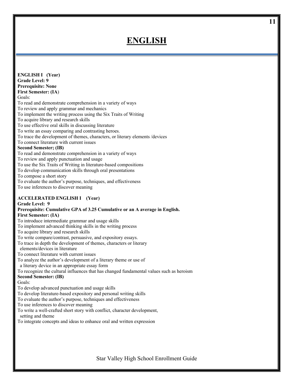# **ENGLISH**

| <b>ENGLISH I</b> (Year)                                                                  |
|------------------------------------------------------------------------------------------|
| <b>Grade Level: 9</b>                                                                    |
| <b>Prerequisite: None</b>                                                                |
| <b>First Semester: (IA)</b>                                                              |
| Goals:                                                                                   |
| To read and demonstrate comprehension in a variety of ways                               |
| To review and apply grammar and mechanics                                                |
| To implement the writing process using the Six Traits of Writing                         |
| To acquire library and research skills                                                   |
| To use effective oral skills in discussing literature                                    |
| To write an essay comparing and contrasting heroes.                                      |
| To trace the development of themes, characters, or literary elements /devices            |
| To connect literature with current issues                                                |
| <b>Second Semester; (IB)</b>                                                             |
| To read and demonstrate comprehension in a variety of ways                               |
| To review and apply punctuation and usage                                                |
| To use the Six Traits of Writing in literature-based compositions                        |
| To develop communication skills through oral presentations                               |
| To compose a short story                                                                 |
| To evaluate the author's purpose, techniques, and effectiveness                          |
| To use inferences to discover meaning                                                    |
|                                                                                          |
| <b>ACCELERATED ENGLISH I</b> (Year)                                                      |
| Grade Level: 9                                                                           |
| Prerequisite: Cumulative GPA of 3.25 Cumulative or an A average in English.              |
| <b>First Semester: (IA)</b>                                                              |
| To introduce intermediate grammar and usage skills                                       |
| To implement advanced thinking skills in the writing process                             |
| To acquire library and research skills                                                   |
| To write compare/contrast, persuasive, and expository essays.                            |
| To trace in depth the development of themes, characters or literary                      |
| elements/devices in literature                                                           |
| To connect literature with current issues                                                |
| To analyze the author's development of a literary theme or use of                        |
| a literary device in an appropriate essay form                                           |
| To recognize the cultural influences that has changed fundamental values such as heroism |
| <b>Second Semester: (IB)</b><br>Goals:                                                   |
| To develop advanced punctuation and usage skills                                         |
| To develop literature-based expository and personal writing skills                       |
| To evaluate the author's purpose, techniques and effectiveness                           |
| To use inferences to discover meaning                                                    |
| To write a well-crafted short story with conflict, character development,                |
| setting and theme                                                                        |
| To integrate concepts and ideas to enhance oral and written expression                   |
|                                                                                          |
|                                                                                          |
|                                                                                          |
|                                                                                          |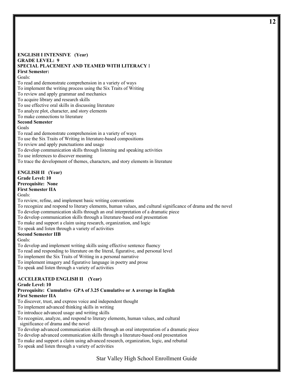#### **ENGLISH I INTENSIVE (Year) GRADE LEVEL: 9 SPECIAL PLACEMENT AND TEAMED WITH LITERACY** I **First Semester:**

Goals:

To read and demonstrate comprehension in a variety of ways

To implement the writing process using the Six Traits of Writing

To review and apply grammar and mechanics

To acquire library and research skills

To use effective oral skills in discussing literature

To analyze plot, character, and story elements

To make connections to literature

#### **Second Semester**

Goals

To read and demonstrate comprehension in a variety of ways To use the Six Traits of Writing in literature-based compositions To review and apply punctuations and usage To develop communication skills through listening and speaking activities To use inferences to discover meaning To trace the development of themes, characters, and story elements in literature

**ENGLISH II (Year) Grade Level: 10 Prerequisite: None First Semester IIA** 

Goals:

To review, refine, and implement basic writing conventions

To recognize and respond to literary elements, human values, and cultural significance of drama and the novel

To develop communication skills through an oral interpretation of a dramatic piece

To develop communication skills through a literature-based oral presentation

To make and support a claim using research, organization, and logic

To speak and listen through a variety of activities

**Second Semester IIB**

Goals:

To develop and implement writing skills using effective sentence fluency

To read and responding to literature on the literal, figurative, and personal level

To implement the Six Traits of Writing in a personal narrative

To implement imagery and figurative language in poetry and prose

To speak and listen through a variety of activities

#### **ACCELERATED ENGLISH II (Year)**

#### **Grade Level: 10**

**Prerequisite: Cumulative GPA of 3.25 Cumulative or A average in English First Semester IIA** 

To discover, trust, and express voice and independent thought

To implement advanced thinking skills in writing

To introduce advanced usage and writing skills

To recognize, analyze, and respond to literary elements, human values, and cultural

significance of drama and the novel

To develop advanced communication skills through an oral interpretation of a dramatic piece

To develop advanced communication skills through a literature-based oral presentation

To make and support a claim using advanced research, organization, logic, and rebuttal

To speak and listen through a variety of activities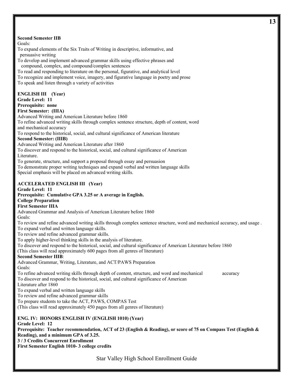#### **Second Semester IIB**

Goals:

To expand elements of the Six Traits of Writing in descriptive, informative, and persuasive writing

- To develop and implement advanced grammar skills using effective phrases and compound, complex, and compound/complex sentences
- To read and responding to literature on the personal, figurative, and analytical level
- To recognize and implement voice, imagery, and figurative language in poetry and prose

To speak and listen through a variety of activities

#### **ENGLISH III (Year)**

**Grade Level: 11** 

**Prerequisite: none**

#### **First Semester: (IIIA)**

Advanced Writing and American Literature before 1860

To refine advanced writing skills through complex sentence structure, depth of content, word and mechanical accuracy

To respond to the historical, social, and cultural significance of American literature

#### **Second Semester: (IIIB)**

Advanced Writing and American Literature after 1860

To discover and respond to the historical, social, and cultural significance of American Literature.

To generate, structure, and support a proposal through essay and persuasion

To demonstrate proper writing techniques and expand verbal and written language skills

Special emphasis will be placed on advanced writing skills.

#### **ACCELERATED ENGLISH III (Year)**

## **Grade Level: 11**

**Prerequisite: Cumulative GPA 3.25 or A average in English.**

## **College Preparation**

**First Semester IIIA**

Advanced Grammar and Analysis of American Literature before 1860 Goals:

To review and refine advanced writing skills through complex sentence structure, word and mechanical accuracy, and usage . To expand verbal and written language skills.

To review and refine advanced grammar skills.

To apply higher-level thinking skills in the analysis of literature.

To discover and respond to the historical, social, and cultural significance of American Literature before 1860

(This class will read approximately 600 pages from all genres of literature)

#### **Second Semester IIIB**:

Advanced Grammar, Writing, Literature, and ACT/PAWS Preparation Goals:

To refine advanced writing skills through depth of content, structure, and word and mechanical accuracy

To discover and respond to the historical, social, and cultural significance of American

Literature after 1860

To expand verbal and written language skills

To review and refine advanced grammar skills

To prepare students to take the ACT, PAWS, COMPAS Test

(This class will read approximately 450 pages from all genres of literature)

**ENG. IV: HONORS ENGLISH IV (ENGLISH 1010) (Year) Grade Level: 12 Prerequisite: Teacher recommendation, ACT of 23 (English & Reading), or score of 75 on Compass Test (English & Reading), and a minimum GPA of 3.25. 3 / 3 Credits Concurrent Enrollment First Semester English 1010- 3 college credits**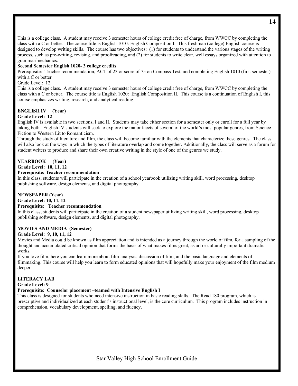This is a college class. A student may receive 3 semester hours of college credit free of charge, from WWCC by completing the class with a C or better. The course title is English 1010: English Composition I. This freshman (college) English course is designed to develop writing skills. The course has two objectives: (1) for students to understand the various stages of the writing process, such as pre-writing, revising, and proofreading, and (2) for students to write clear, well essays organized with attention to grammar/mechanics.

#### **Second Semester English 1020- 3 college credits**

Prerequisite: Teacher recommendation, ACT of 23 or score of 75 on Compass Test, and completing English 1010 (first semester) with a C or better

Grade Level: 12

This is a college class. A student may receive 3 semester hours of college credit free of charge, from WWCC by completing the class with a C or better. The course title is English 1020: English Composition II. This course is a continuation of English I, this course emphasizes writing, research, and analytical reading.

### **ENGLISH IV (Year)**

#### **Grade Level: 12**

English IV is available in two sections, I and II. Students may take either section for a semester only or enroll for a full year by taking both. English IV students will seek to explore the major facets of several of the world's most popular genres, from Science Fiction to Western Lit to Romanticism.

Through the study of literature and film, the class will become familiar with the elements that characterize these genres. The class will also look at the ways in which the types of literature overlap and come together. Additionally, the class will serve as a forum for student writers to produce and share their own creative writing in the style of one of the genres we study.

#### **YEARBOOK (Year)**

### **Grade Level: 10, 11, 12**

#### **Prerequisite: Teacher recommendation**

In this class, students will participate in the creation of a school yearbook utilizing writing skill, word processing, desktop publishing software, design elements, and digital photography.

#### **NEWSPAPER (Year)**

### **Grade Level: 10, 11, 12**

#### **Prerequisite: Teacher recommendation**

In this class, students will participate in the creation of a student newspaper utilizing writing skill, word processing, desktop publishing software, design elements, and digital photography.

#### **MOVIES AND MEDIA (Semester)**

#### **Grade Level: 9, 10, 11, 12**

Movies and Media could be known as film appreciation and is intended as a journey through the world of film, for a sampling of the thought and accumulated critical opinion that forms the basis of what makes films great, as art or culturally important dramatic works.

If you love film, here you can learn more about film-analysis, discussion of film, and the basic language and elements of filmmaking. This course will help you learn to form educated opinions that will hopefully make your enjoyment of the film medium deeper.

#### **LITERACY LAB**

**Grade Level: 9**

#### **Prerequisite: Counselor placement –teamed with Intensive English I**

This class is designed for students who need intensive instruction in basic reading skills. The Read 180 program, which is prescriptive and individualized at each student's instructional level, is the core curriculum. This program includes instruction in comprehension, vocabulary development, spelling, and fluency.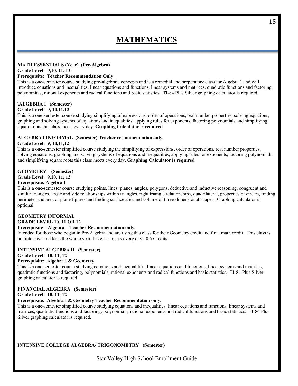## **MATHEMATICS**

## **MATH ESSENTIALS (Year) (Pre-Algebra)**

## **Grade Level: 9,10, 11, 12**

#### **Prerequisite: Teacher Recommendation Only**

This is a one-semester course studying pre-algebraic concepts and is a remedial and preparatory class for Algebra 1 and will introduce equations and inequalities, linear equations and functions, linear systems and matrices, quadratic functions and factoring, polynomials, rational exponents and radical functions and basic statistics. TI-84 Plus Silver graphing calculator is required.

#### **\ALGEBRA I (Semester)**

#### **Grade Level: 9, 10,11,12**

This is a one-semester course studying simplifying of expressions, order of operations, real number properties, solving equations, graphing and solving systems of equations and inequalities, applying rules for exponents, factoring polynomials and simplifying square roots this class meets every day. **Graphing Calculator is required**

#### **ALGEBRA I INFORMAL (Semester) Teacher recommendation only.**

#### **Grade Level: 9, 10,11,12**

This is a one-semester simplified course studying the simplifying of expressions, order of operations, real number properties, solving equations, graphing and solving systems of equations and inequalities, applying rules for exponents, factoring polynomials and simplifying square roots this class meets every day. **Graphing Calculator is required**

#### **GEOMETRY (Semester)**

#### **Grade Level: 9,10, 11, 12**

#### **Prerequisite: Algebra I**

This is a one-semester course studying points, lines, planes, angles, polygons, deductive and inductive reasoning, congruent and similar triangles, angle and side relationships within triangles, right triangle relationships, quadrilateral, properties of circles, finding perimeter and area of plane figures and finding surface area and volume of three-dimensional shapes. Graphing calculator is optional.

#### **GEOMETRY INFORMAL GRADE LEVEL 10, 11 OR 12**

#### **Prerequisite – Algebra 1 Teacher Recommendation only.**

Intended for those who began in Pre-Algebra and are using this class for their Geometry credit and final math credit. This class is not intensive and lasts the whole year this class meets every day. 0.5 Credits

#### **INTENSIVE ALGEBRA II (Semester)**

#### **Grade Level: 10, 11, 12**

#### **Prerequisite: Algebra I & Geometry**

This is a one-semester course studying equations and inequalities, linear equations and functions, linear systems and matrices, quadratic functions and factoring, polynomials, rational exponents and radical functions and basic statistics. TI-84 Plus Silver graphing calculator is required.

#### **FINANCIAL ALGEBRA (Semester)**

#### **Grade Level: 10, 11, 12**

### **Prerequisite: Algebra I & Geometry Teacher Recommendation only.**

This is a one-semester simplified course studying equations and inequalities, linear equations and functions, linear systems and matrices, quadratic functions and factoring, polynomials, rational exponents and radical functions and basic statistics. TI-84 Plus Silver graphing calculator is required.

**INTENSIVE COLLEGE ALGEBRA/ TRIGONOMETRY (Semester)**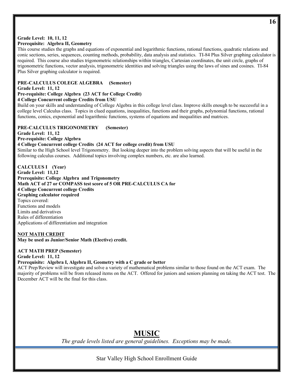#### **16**

#### **Grade Level: 10, 11, 12**

#### **Prerequisite: Algebra II, Geometry**

This course studies the graphs and equations of exponential and logarithmic functions, rational functions, quadratic relations and conic sections, series, sequences, counting methods, probability, data analysis and statistics. TI-84 Plus Silver graphing calculator is required.This course also studies trigonometric relationships within triangles, Cartesian coordinates, the unit circle, graphs of trigonometric functions, vector analysis, trigonometric identities and solving triangles using the laws of sines and cosines. TI-84 Plus Silver graphing calculator is required.

#### **PRE-CALCULUS COLEGE ALGEBRA (Semester)**

#### **Grade Level: 11, 12**

#### **Pre-requisite: College Algebra (23 ACT for College Credit)**

**4 College Concurrent college Credits from USU**

Build on your skills and understanding of College Algebra in this college level class. Improve skills enough to be successful in a college level Calculus class. Topics in clued equations, inequalities, functions and their graphs, polynomial functions, rational functions, conics, exponential and logarithmic functions, systems of equations and inequalities and matrices.

#### **PRE-CALCULUS TRIGONOMETRY (Semester)**

**Grade Level: 11, 12 Pre-requisite: College Algebra** 

#### **4 College Concurrent college Credits (24 ACT for college credit) from USU**

Similar to the High School level Trigonometry. But looking deeper into the problem solving aspects that will be useful in the following calculus courses. Additional topics involving complex numbers, etc. are also learned.

#### **CALCULUS I (Year)**

**Grade Level: 11,12 Prerequisite: College Algebra and Trigonometry Math ACT of 27 or COMPASS test score of 5 OR PRE-CALCULUS CA for 4 College Concurrent college Credits Graphing calculator required** Topics covered: Functions and models Limits and derivatives Rules of differentiation Applications of differentiation and integration

#### **NOT MATH CREDIT**

#### **May be used as Junior/Senior Math (Elective) credit.**

#### **ACT MATH PREP (Semester)**

**Grade Level: 11, 12** 

#### **Prerequisite: Algebra I, Algebra II, Geometry with a C grade or better**

ACT Prep/Review will investigate and solve a variety of mathematical problems similar to those found on the ACT exam. The majority of problems will be from released items on the ACT. Offered for juniors and seniors planning on taking the ACT test. The December ACT will be the final for this class.

## **MUSIC**

*The grade levels listed are general guidelines. Exceptions may be made.*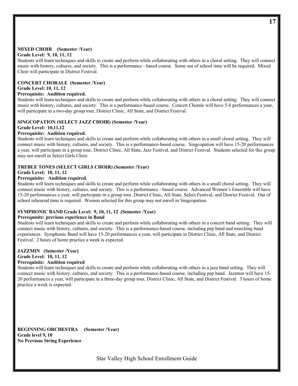#### **MIXED CHOIR (Semester /Year)**

#### **Grade Level: 9, 10, 11, 12**

Students will learn techniques and skills to create and perform while collaborating with others in a choral setting. They will connect music with history, cultures, and society. This is a performance - based course. Some out of school time will be required. Mixed Choir will participate in District Festival.

#### **CONCERT CHORALE (Semester /Year) Grade Level: 10, 11, 12**

#### **Prerequisite: Audition required.**

Students will learn techniques and skills to create and perform while collaborating with others in a choral setting. They will connect music with history, cultures, and society. This is a performance-based course. Concert Chorale will have 5-8 performances a year, will participate in a two-day group tour, District Clinic, All State, and District Festival.

#### **SINGCOPATION (SELECT JAZZ CHOIR) (Semester /Year)**

#### **Grade Level: 10,11,12**

#### **Prerequisite: Audition required.**

Students will learn techniques and skills to create and perform while collaborating with others in a small choral setting. They will connect music with history, cultures, and society. This is a performance-based course. Singcopation will have 15-20 performances a year, will participate in a group tour, District Clinic, All State, Jazz Festival, and District Festival. Students selected for this group may not enroll in Select Girls Choir.

#### **TREBLE TONES (SELECT GIRLS CHOIR) (Semester /Year)**

#### **Grade Level: 10, 11, 12**

#### **Prerequisite: Audition required.**

Students will learn techniques and skills to create and perform while collaborating with others in a small choral setting. They will connect music with history, cultures, and society. This is a performance - based course. Advanced Women's Ensemble will have 15-20 performances a year, will participate in a group tour, District Clinic, All-State, Select Festival, and District Festival. Out of school rehearsal time is required. Women selected for this group may not enroll in Singcopation.

#### **SYMPHONIC BAND Grade Level: 9, 10, 11, 12 (Semester /Year)**

#### **Prerequisite: previous experience in Band**

Students will learn techniques and skills to create and perform while collaborating with others in a concert band setting. They will connect music with history, cultures, and society. This is a performance-based course, including pep band and marching band experiences. Symphonic Band will have 15-20 performances a year, will participate in District Clinic, All State, and District Festival. 2 hours of home practice a week is expected.

#### **JAZZMIN (Semester /Year)**

#### **Grade Level: 10, 11, 12**

#### **Prerequisite: Audition required**

Students will learn techniques and skills to create and perform while collaborating with others in a jazz band setting. They will connect music with history, cultures, and society. This is a performance-based course, including pep band. Jazzmin will have 15- 20 performances a year, will participate in a three-day group tour, District Clinic, All State, and District Festival. 3 hours of home practice a week is expected.

**BEGINNING ORCHESTRA (Semester /Year) Grade level 9, 10 No Previous String Experience**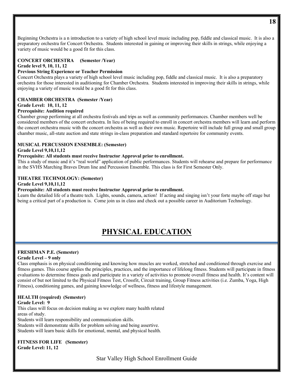Beginning Orchestra is a n introduction to a variety of high school level music including pop, fiddle and classical music. It is also a preparatory orchestra for Concert Orchestra. Students interested in gaining or improving their skills in strings, while enjoying a variety of music would be a good fit for this class.

#### **CONCERT ORCHESTRA (Semester /Year) Grade level 9, 10, 11, 12**

#### **Previous String Experience or Teacher Permission**

Concert Orchestra plays a variety of high school level music including pop, fiddle and classical music. It is also a preparatory orchestra for those interested in auditioning for Chamber Orchestra. Students interested in improving their skills in strings, while enjoying a variety of music would be a good fit for this class.

#### **CHAMBER ORCHESTRA (Semester /Year)**

#### **Grade Level: 10, 11, 12**

#### **Prerequisite: Audition required**

Chamber group performing at all orchestra festivals and trips as well as community performances. Chamber members well be considered members of the concert orchestra. In lieu of being required to enroll in concert orchestra members will learn and perform the concert orchestra music with the concert orchestra as well as their own music. Repertoire will include full group and small group chamber music, all-state auction and state strings in-class preparation and standard repertoire for community events.

#### **MUSICAL PERCUSSION ENSEMBLE: (Semester)**

**Grade Level 9,10,11,12** 

#### **Prerequisite: All students must receive Instructor Approval prior to enrollment.**

This a study of music and it's "real world" application of public performances. Students will rehearse and prepare for performance in the SVHS Marching Braves Drum line and Percussion Ensemble. This class is for First Semester Only.

#### **THEATRE TECHNOLOGY: (Semester)**

**Grade Level 9,10,11,12** 

#### **Prerequisite: All students must receive Instructor Approval prior to enrollment.**

Learn the detailed life of a theatre tech. Lights, sounds, camera, action! If acting and singing isn't your forte maybe off stage but being a critical part of a production is. Come join us in class and check out a possible career in Auditorium Technology.

## **PHYSICAL EDUCATION**

#### **FRESHMAN P.E. (Semester)**

#### **Grade Level – 9 only**

Class emphasis is on physical conditioning and knowing how muscles are worked, stretched and conditioned through exercise and fitness games. This course applies the principles, practices, and the importance of lifelong fitness. Students will participate in fitness evaluations to determine fitness goals and participate in a variety of activities to promote overall fitness and health. It's content will consist of but not limited to the Physical Fitness Test, Crossfit, Circuit training, Group Fitness activities (i.e. Zumba, Yoga, High Fitness), conditioning games, and gaining knowledge of wellness, fitness and lifestyle management.

#### **HEALTH (required) (Semester)**

#### **Grade Level: 9**

This class will focus on decision making as we explore many health related areas of study. Students will learn responsibility and communication skills. Students will demonstrate skills for problem solving and being assertive.

Students will learn basic skills for emotional, mental, and physical health.

#### **FITNESS FOR LIFE (Semester) Grade Level: 11, 12**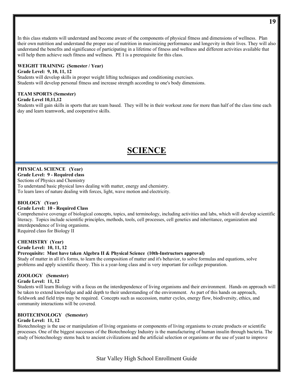In this class students will understand and become aware of the components of physical fitness and dimensions of wellness. Plan their own nutrition and understand the proper use of nutrition in maximizing performance and longevity in their lives. They will also understand the benefits and significance of participating in a lifetime of fitness and wellness and different activities available that will help them achieve such fitness and wellness. PE I is a prerequisite for this class.

#### **WEIGHT TRAINING (Semester / Year)**

#### **Grade Level: 9, 10, 11, 12**

Students will develop skills in proper weight lifting techniques and conditioning exercises. Students will develop personal fitness and increase strength according to one's body dimensions.

#### **TEAM SPORTS (Semester)**

#### **Grade Level 10,11,12**

Students will gain skills in sports that are team based. They will be in their workout zone for more than half of the class time each day and learn teamwork, and cooperative skills.

## **SCIENCE**

### **PHYSICAL SCIENCE (Year)**

**Grade Level: 9 - Required class**

Sections of Physics and Chemistry To understand basic physical laws dealing with matter, energy and chemistry.

To learn laws of nature dealing with forces, light, wave motion and electricity.

#### **BIOLOGY (Year)**

#### **Grade Level: 10 - Required Class**

Comprehensive coverage of biological concepts, topics, and terminology, including activities and labs, which will develop scientific literacy. Topics include scientific principles, methods, tools, cell processes, cell genetics and inheritance, organization and interdependence of living organisms. Required class for Biology II

#### **CHEMISTRY (Year) Grade Level: 10, 11, 12**

#### **Prerequisite: Must have taken Algebra II & Physical Science (10th-Instructors approval)**

Study of matter in all it's forms, to learn the composition of matter and it's behavior, to solve formulas and equations, solve problems and apply scientific theory. This is a year-long class and is very important for college preparation.

#### **ZOOLOGY (Semester)**

#### **Grade Level: 11, 12**

Students will learn Biology with a focus on the interdependence of living organisms and their environment. Hands on approach will be taken to extend knowledge and add depth to their understanding of the environment. As part of this hands on approach, fieldwork and field trips may be required. Concepts such as succession, matter cycles, energy flow, biodiversity, ethics, and community interactions will be covered.

#### **BIOTECHNOLOGY (Semester)**

#### **Grade Level: 11, 12**

Biotechnology is the use or manipulation of living organisms or components of living organisms to create products or scientific processes. One of the biggest successes of the Biotechnology Industry is the manufacturing of human insulin through bacteria. The study of biotechnology stems back to ancient civilizations and the artificial selection or organisms or the use of yeast to improve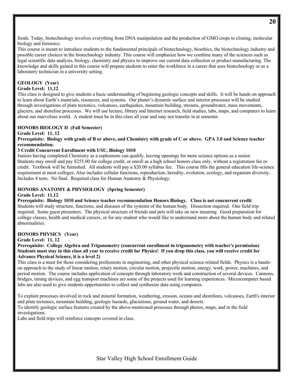foods. Today, biotechnology involves everything from DNA manipulation and the production of GMO crops to cloning, molecular biology and forensics.

This course is meant to introduce students to the fundamental principals of biotechnology, bioethics, the biotechnology industry and possible career choices in the biotechnology industry. This course will emphasize how we combine many of the sciences such as legal scientific data analysis, biology, chemistry and physics to improve our current data collection or product manufacturing. The knowledge and skills gained in this course will prepare students to enter the workforce in a career that uses biotechnology or as a laboratory technician in a university setting.

### **GEOLOGY (Year)**

#### **Grade Level: 11,12**

This class is designed to give students a basic understanding of beginning geologic concepts and skills. It will be hands on approach to learn about Earth's materials, resources, and systems. Our planet's dynamic surface and interior processes will be studied through investigations of plate tectonics, volcanoes, earthquakes, mountain building, streams, groundwater, mass movements, glaciers, and shoreline processes. We will use lecture, library and Internet research, field studies, labs, maps, and computers to learn about our marvelous world. A student must be in this class all year and may not transfer in at semester.

#### **HONORS BIOLOGY II (Fall Semester)**

**Grade Level: 11, 12** 

**Prerequisite: Biology with grade of B or above, and Chemistry with grade of C or above. GPA 3.0 and Science teacher recommendation.**

#### **3 Credit Concurrent Enrollment with USU, Biology 1010**

Juniors having completed Chemistry as a sophomore can qualify, leaving openings for more science options as a senior. Students may enroll and pay \$255.00 for college credit, or enroll as a high school honors class only, without a registration fee or credit. Textbook will be furnished. All students will pay a \$20.00 syllabus fee. This course fills the general education life-science requirement at most colleges. Also includes cellular functions, reproduction, heredity, evolution, ecology, and organism diversity. Includes 4 tests. No final. Required class for Human Anatomy & Physiology.

#### **HONORS ANATOMY & PHYSIOLOGY (Spring Semester)**

#### **Grade Level: 11,12**

**Prerequisite: Biology 1010 and Science teacher recommendation Honors Biology. Class is not concurrent credit** Students will study structure, functions, and diseases of the systems of the human body. Dissection required. One field trip required. Some guest presenters. The physical structure of friends and pets will take on new meaning. Good preparation for college classes, health and medical careers, or for any student who would like to understand more about the human body and related abnormalities.

#### **HONORS PHYSICS (Year)**

#### **Grade Level: 11, 12**

#### **Prerequisite: College Algebra and Trigonometry (concurrent enrollment in trigonometry with teacher's permission) Students must stay in this class all year to receive credit for Physics! If you drop this class, you will receive credit for Advance Physical Science, it is a level 2)**

This class is a must for those considering professions in engineering, and other physical science-related fields. Physics is a handson approach to the study of linear motion, rotary motion, circular motion, projectile motion, energy, work, power, machines, and period motion. The course includes application of concepts through laboratory work and construction of several devices. Cannons, bridges, timing devices, and egg transport machines are some of the projects used for learning experiences. Microcomputer based labs are also used to give students opportunities to collect and synthesize data using computers.

To explain processes involved in rock and mineral formation, weathering, erosion, oceans and shorelines, volcanoes, Earth's interior and plate tectonics, mountain building, geologic hazards, glaciations, ground water, and deserts.

To identify geologic surface features created by the above-mentioned processes through photos, maps, and in the field investigations.

Labs and field trips will reinforce concepts covered in class.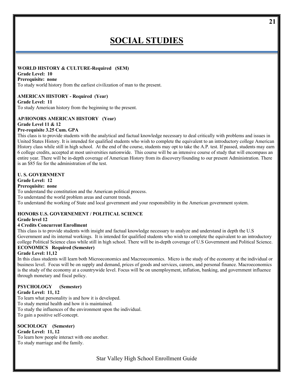## **SOCIAL STUDIES**

#### **WORLD HISTORY & CULTURE-Required (SEM)**

**Grade Level: 10 Prerequisite: none**

To study world history from the earliest civilization of man to the present.

#### **AMERICAN HISTORY - Required (Year)**

**Grade Level: 11**  To study American history from the beginning to the present.

#### **AP/HONORS AMERICAN HISTORY (Year) Grade Level 11 & 12**

#### **Pre-requisite 3.25 Cum. GPA**

This class is to provide students with the analytical and factual knowledge necessary to deal critically with problems and issues in United States History. It is intended for qualified students who wish to complete the equivalent to an introductory college American History class while still in high school. At the end of the course, students may opt to take the A.P. test. If passed, students may earn 6 college credits, accepted at most universities nationwide. This course will be an intensive course of study that will encompass an entire year. There will be in-depth coverage of American History from its discovery/founding to our present Administration. There is an \$85 fee for the administration of the test.

#### **U. S. GOVERNMENT**

#### **Grade Level: 12**

#### **Prerequisite: none**

To understand the constitution and the American political process.

To understand the world problem areas and current trends.

To understand the working of State and local government and your responsibility in the American government system.

#### **HONORS U.S. GOVERNEMENT / POLITICAL SCIENCE**

#### **Grade level 12**

#### **4 Credits Concurrent Enrollment**

This class is to provide students with insight and factual knowledge necessary to analyze and understand in depth the U.S Government and its internal workings. It is intended for qualified students who wish to complete the equivalent to an introductory college Political Science class while still in high school. There will be in-depth coverage of U.S Government and Political Science. **ECONOMICS Required (Semester)**

#### **Grade Level: 11,12**

In this class students will learn both Microeconomics and Macroeconomics. Micro is the study of the economy at the individual or business level. Focus will be on supply and demand, prices of goods and services, careers, and personal finance. Macroeconomics is the study of the economy at a countrywide level. Focus will be on unemployment, inflation, banking, and government influence through monetary and fiscal policy.

#### **PSYCHOLOGY (Semester)**

#### **Grade Level: 11, 12**

To learn what personality is and how it is developed. To study mental health and how it is maintained.

To study the influences of the environment upon the individual.

To gain a positive self-concept.

#### **SOCIOLOGY (Semester)**

**Grade Level: 11, 12**  To learn how people interact with one another. To study marriage and the family.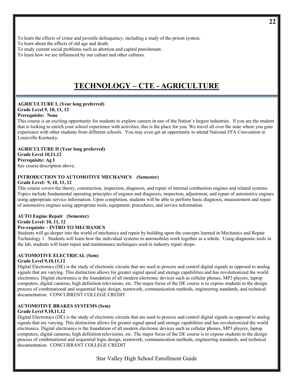To learn the effects of crime and juvenile delinquency, including a study of the prison system.

To learn about the effects of old age and death.

To study current social problems such as abortion and capital punishment.

To learn how we are influenced by our culture and other cultures.

## **TECHNOLOGY – CTE - AGRICULTURE**

#### **AGRICULTURE I, (Year long preferred)**

#### **Grade Level 9, 10, 11, 12**

#### **Prerequisite: None**

This course is an exciting opportunity for students to explore careers in one of the Nation's largest industries. If you are the student that is looking to enrich your school experience with activities, this is the place for you. We travel all over the state where you gain experience with other students from different schools. You may even get an opportunity to attend National FFA Convention in Louisville Kentucky.

#### **AGRICULTURE II (Year long preferred) Grade Level 10,11,12 Prerequisite: Ag I**

See course description above.

#### **INTRODUCTION TO AUTOMOTIVE MECHANICS (Semester)**

#### **Grade Level: 9, 10, 11, 12**

This course covers the theory, construction, inspection, diagnosis, and repair of internal combustion engines and related systems. Topics include fundamental operating principles of engines and diagnosis, inspection, adjustment, and repair of automotive engines using appropriate service information. Upon completion, students will be able to perform basic diagnosis, measurement and repair of automotive engines using appropriate tools, equipment, procedures, and service information.

#### **AUTO Engine Repair (Semester) Grade Level: 10, 11, 12**

#### **Pre-requisite – INTRO TO MECHANICS**

Students will go deeper into the world of mechanics and repair by building upon the concepts learned in Mechanics and Repair Technology 1. Students will learn how the individual systems in automobiles work together as a whole. Using diagnostic tools in the lab, students will learn repair and maintenance techniques used in industry repair shops.

#### **AUTOMOTIVE ELECTRICAL (Sem)**

#### **Grade Level 9,10,11,12**

Digital Electronics (DE) is the study of electronic circuits that are used to process and control digital signals as opposed to analog signals that are varying. This distinction allows for greater signal speed and storage capabilities and has revolutionized the world electronics. Digital electronics is the foundation of all modern electronic devices such as cellular phones, MP3 players, laptop computers, digital cameras, high definition televisions, etc. The major focus of the DE course is to expose students to the design process of combinational and sequential logic design, teamwork, communication methods, engineering standards, and technical documentation. CONCURRENT COLLEGE CREDIT

#### **AUTOMOTIVE BRAKES SYSTEMS (Sem)**

#### **Grade Level 9,10,11,12**

Digital Electronics (DE) is the study of electronic circuits that are used to process and control digital signals as opposed to analog signals that are varying. This distinction allows for greater signal speed and storage capabilities and has revolutionized the world electronics. Digital electronics is the foundation of all modern electronic devices such as cellular phones, MP3 players, laptop computers, digital cameras, high definition televisions, etc. The major focus of the DE course is to expose students to the design process of combinational and sequential logic design, teamwork, communication methods, engineering standards, and technical documentation. CONCURRANT COLLEGE CREDIT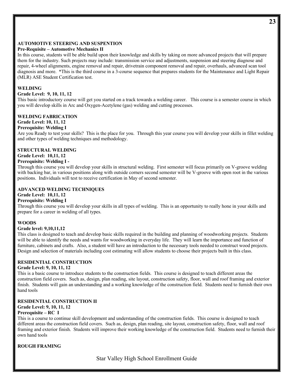### **AUTOMOTIVE STEERING AND SUSPENTION**

#### **Pre-Requisite – Automotive Mechanics II**

In this course, students will be able build upon their knowledge and skills by taking on more advanced projects that will prepare them for the industry. Such projects may include: transmission service and adjustments, suspension and steering diagnose and repair, 4-wheel alignments, engine removal and repair, drivetrain component removal and repair, overhauls, advanced scan tool diagnosis and more. \*This is the third course in a 3-course sequence that prepares students for the Maintenance and Light Repair (MLR) ASE Student Certification test.

#### **WELDING**

#### **Grade Level: 9, 10, 11, 12**

This basic introductory course will get you started on a track towards a welding career. This course is a semester course in which you will develop skills in Arc and Oxygen-Acetylene (gas) welding and cutting processes.

#### **WELDING FABRICATION**

#### **Grade Level: 10, 11, 12**

#### **Prerequisite: Welding I**

Are you Ready to test your skills? This is the place for you. Through this year course you will develop your skills in fillet welding and other types of welding techniques and methodology.

#### **STRUCTURAL WELDING**

**Grade Level: 10,11, 12** 

#### **Prerequisite: Welding I -**

Through this course you will develop your skills in structural welding. First semester will focus primarily on V-groove welding with backing bar, in various positions along with outside corners second semester will be V-groove with open root in the various positions. Individuals will test to receive certification in May of second semester.

#### **ADVANCED WELDING TECHNIQUES**

#### **Grade Level: 10,11, 12**

#### **Prerequisite: Welding I**

Through this course you will develop your skills in all types of welding. This is an opportunity to really hone in your skills and prepare for a career in welding of all types.

#### **WOODS**

#### **Grade level: 9,10,11,12**

This class is designed to teach and develop basic skills required in the building and planning of woodworking projects. Students will be able to identify the needs and wants for woodworking in everyday life. They will learn the importance and function of furniture, cabinets and crafts. Also, a student will have an introduction to the necessary tools needed to construct wood projects. Design and selection of materials including cost estimating will allow students to choose their projects built in this class.

#### **RESIDENTIAL CONSTRUCTION**

#### **Grade Level: 9, 10, 11, 12**

This is a basic course to introduce students to the construction fields. This course is designed to teach different areas the construction field covers. Such as, design, plan reading, site layout, construction safety, floor, wall and roof framing and exterior finish. Students will gain an understanding and a working knowledge of the construction field. Students need to furnish their own hand tools

#### **RESIDENTIAL CONSTRUCTION II**

#### **Grade Level: 9, 10, 11, 12**

#### **Prerequisite – RC I**

This is a course to continue skill development and understanding of the construction fields. This course is designed to teach different areas the construction field covers. Such as, design, plan reading, site layout, construction safety, floor, wall and roof framing and exterior finish. Students will improve their working knowledge of the construction field. Students need to furnish their own hand tools

#### **ROUGH FRAMING**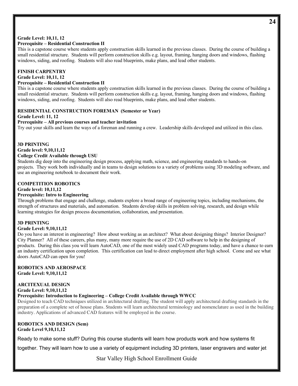#### **24**

#### **Grade Level: 10,11, 12**

#### **Prerequisite – Residential Construction II**

This is a capstone course where students apply construction skills learned in the previous classes. During the course of building a small residential structure. Students will perform construction skills e.g. layout, framing, hanging doors and windows, flashing windows, siding, and roofing. Students will also read blueprints, make plans, and lead other students.

#### **FINISH CARPENTRY**

**Grade Level: 10,11, 12** 

#### **Prerequisite – Residential Construction II**

This is a capstone course where students apply construction skills learned in the previous classes. During the course of building a small residential structure. Students will perform construction skills e.g. layout, framing, hanging doors and windows, flashing windows, siding, and roofing. Students will also read blueprints, make plans, and lead other students.

#### **RESIDENTIAL CONSTRUCTION FOREMAN (Semester or Year)**

**Grade Level: 11, 12** 

#### **Prerequisite – All previous courses and teacher invitation**

Try out your skills and learn the ways of a foreman and running a crew. Leadership skills developed and utilized in this class.

#### **3D PRINTING**

#### **Grade level: 9,10,11,12**

#### **College Credit Available through USU**

Students dig deep into the engineering design process, applying math, science, and engineering standards to hands-on projects. They work both individually and in teams to design solutions to a variety of problems using 3D modeling software, and use an engineering notebook to document their work.

#### **COMPETITION ROBOTICS**

#### **Grade level: 10,11,12**

#### **Prerequisite: Intro to Engineering**

Through problems that engage and challenge, students explore a broad range of engineering topics, including mechanisms, the strength of structures and materials, and automation. Students develop skills in problem solving, research, and design while learning strategies for design process documentation, collaboration, and presentation.

#### **3D PRINTING**

#### **Grade Level: 9,10,11,12**

Do you have an interest in engineering? How about working as an architect? What about designing things? Interior Designer? City Planner? All of these careers, plus many, many more require the use of 2D CAD software to help in the designing of products. During this class you will learn AutoCAD, one of the most widely used CAD programs today, and have a chance to earn an industry certification upon completion. This certification can lead to direct employment after high school. Come and see what doors AutoCAD can open for you!

#### **ROBOTICS AND AEROSPACE Grade Level: 9,10,11,12**

#### **ARCITEXUAL DESIGN Grade Level: 9,10,11,12**

#### **Prerequisite: Introduction to Engineering – College Credit Available through WWCC**

Designed to teach CAD techniques utilized in architectural drafting. The student will apply architectural drafting standards in the preparation of a complete set of house plans. Students will learn architectural terminology and nomenclature as used in the building industry. Applications of advanced CAD features will be employed in the course.

#### **ROBOTICS AND DESIGN (Sem) Grade Level 9,10,11,12**

Ready to make some stuff? During this course students will learn how products work and how systems fit

together. They will learn how to use a variety of equipment including 3D printers, laser engravers and water jet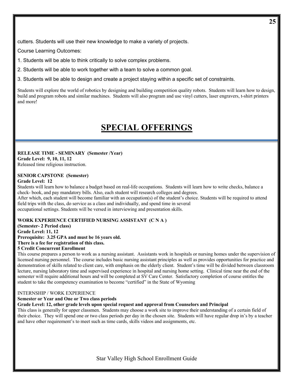cutters. Students will use their new knowledge to make a variety of projects.

Course Learning Outcomes:

- 1. Students will be able to think critically to solve complex problems.
- 2. Students will be able to work together with a team to solve a common goal.
- 3. Students will be able to design and create a project staying within a specific set of constraints.

Students will explore the world of robotics by designing and building competition quality robots. Students will learn how to design, build and program robots and similar machines. Students will also program and use vinyl cutters, laser engravers, t-shirt printers and more!

## **SPECIAL OFFERINGS**

#### **RELEASE TIME - SEMINARY (Semester /Year) Grade Level: 9, 10, 11, 12**

Released time religious instruction.

#### **SENIOR CAPSTONE (Semester) Grade Level: 12**

Students will learn how to balance a budget based on real-life occupations. Students will learn how to write checks, balance a check- book, and pay mandatory bills. Also, each student will research colleges and degrees.

After which, each student will become familiar with an occupation(s) of the student's choice. Students will be required to attend field trips with the class, do service as a class and individually, and spend time in several occupational settings. Students will be versed in interviewing and presentation skills.

#### **WORK EXPERIENCE CERTIFIED NURSING ASSISTANT (C N A )**

**(Semester- 2 Period class) Grade Level: 11, 12 Prerequisite: 3.25 GPA and must be 16 years old. There is a fee for registration of this class. 5 Credit Concurrent Enrollment** 

This course prepares a person to work as a nursing assistant. Assistants work in hospitals or nursing homes under the supervision of licensed nursing personnel. The course includes basic nursing assistant principles as well as provides opportunities for practice and demonstration of skills related to client care, with emphasis on the elderly client. Student's time will be divided between classroom lecture, nursing laboratory time and supervised experience in hospital and nursing home setting. Clinical time near the end of the semester will require additional hours and will be completed at SV Care Center. Satisfactory completion of course entitles the student to take the competency examination to become "certified" in the State of Wyoming

#### INTERNSHIP / WORK EXPERIENCE

#### **Semester or Year and One or Two class periods**

#### **Grade Level: 12, other grade levels upon special request and approval from Counselors and Principal**

This class is generally for upper classmen. Students may choose a work site to improve their understanding of a certain field of their choice. They will spend one or two class periods per day in the chosen site. Students will have regular drop in's by a teacher and have other requirement's to meet such as time cards, skills videos and assignments, etc.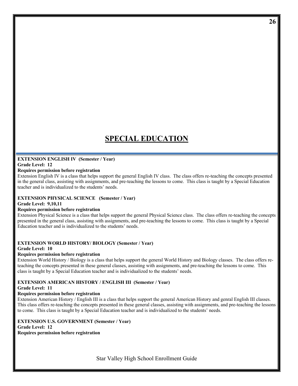## **SPECIAL EDUCATION**

#### **EXTENSION ENGLISH IV (Semester / Year)**

#### **Grade Level: 12**

#### **Requires permission before registration**

Extension English IV is a class that helps support the general English IV class. The class offers re-teaching the concepts presented in the general class, assisting with assignments, and pre-teaching the lessons to come. This class is taught by a Special Education teacher and is individualized to the students' needs.

#### **EXTENSION PHYSICAL SCIENCE (Semester / Year)**

#### **Grade Level: 9,10,11**

#### **Requires permission before registration**

Extension Physical Science is a class that helps support the general Physical Science class. The class offers re-teaching the concepts presented in the general class, assisting with assignments, and pre-teaching the lessons to come. This class is taught by a Special Education teacher and is individualized to the students' needs.

#### **EXTENSION WORLD HISTORY/ BIOLOGY (Semester / Year)**

#### **Grade Level: 10**

#### **Requires permission before registration**

Extension World History / Biology is a class that helps support the general World History and Biology classes. The class offers reteaching the concepts presented in these general classes, assisting with assignments, and pre-teaching the lessons to come. This class is taught by a Special Education teacher and is individualized to the students' needs.

#### **EXTENSION AMERICAN HISTORY / ENGLISH III (Semester / Year)**

#### **Grade Level: 11**

#### **Requires permission before registration**

Extension American History / English III is a class that helps support the general American History and genral English III classes. This class offers re-teaching the concepts presented in these general classes, assisting with assignments, and pre-teaching the lessons to come. This class is taught by a Special Education teacher and is individualized to the students' needs.

### **EXTENSION U.S. GOVERNMENT (Semester / Year)**

**Grade Level: 12 Requires permission before registration**